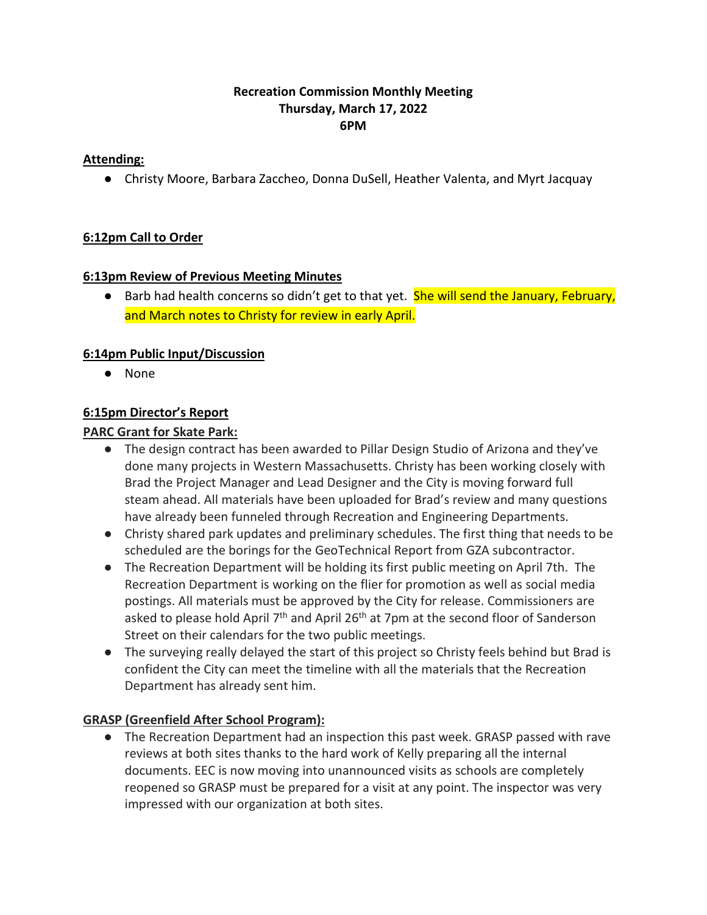### **Recreation Commission Monthly Meeting Thursday, March 17, 2022 6PM**

### **Attending:**

● Christy Moore, Barbara Zaccheo, Donna DuSell, Heather Valenta, and Myrt Jacquay

## **6:12pm Call to Order**

### **6:13pm Review of Previous Meeting Minutes**

● Barb had health concerns so didn't get to that yet. **She will send the January, February,** and March notes to Christy for review in early April.

## **6:14pm Public Input/Discussion**

● None

## **6:15pm Director's Report**

## **PARC Grant for Skate Park:**

- The design contract has been awarded to Pillar Design Studio of Arizona and they've done many projects in Western Massachusetts. Christy has been working closely with Brad the Project Manager and Lead Designer and the City is moving forward full steam ahead. All materials have been uploaded for Brad's review and many questions have already been funneled through Recreation and Engineering Departments.
- Christy shared park updates and preliminary schedules. The first thing that needs to be scheduled are the borings for the GeoTechnical Report from GZA subcontractor.
- The Recreation Department will be holding its first public meeting on April 7th. The Recreation Department is working on the flier for promotion as well as social media postings. All materials must be approved by the City for release. Commissioners are asked to please hold April 7<sup>th</sup> and April 26<sup>th</sup> at 7pm at the second floor of Sanderson Street on their calendars for the two public meetings.
- The surveying really delayed the start of this project so Christy feels behind but Brad is confident the City can meet the timeline with all the materials that the Recreation Department has already sent him.

## **GRASP (Greenfield After School Program):**

● The Recreation Department had an inspection this past week. GRASP passed with rave reviews at both sites thanks to the hard work of Kelly preparing all the internal documents. EEC is now moving into unannounced visits as schools are completely reopened so GRASP must be prepared for a visit at any point. The inspector was very impressed with our organization at both sites.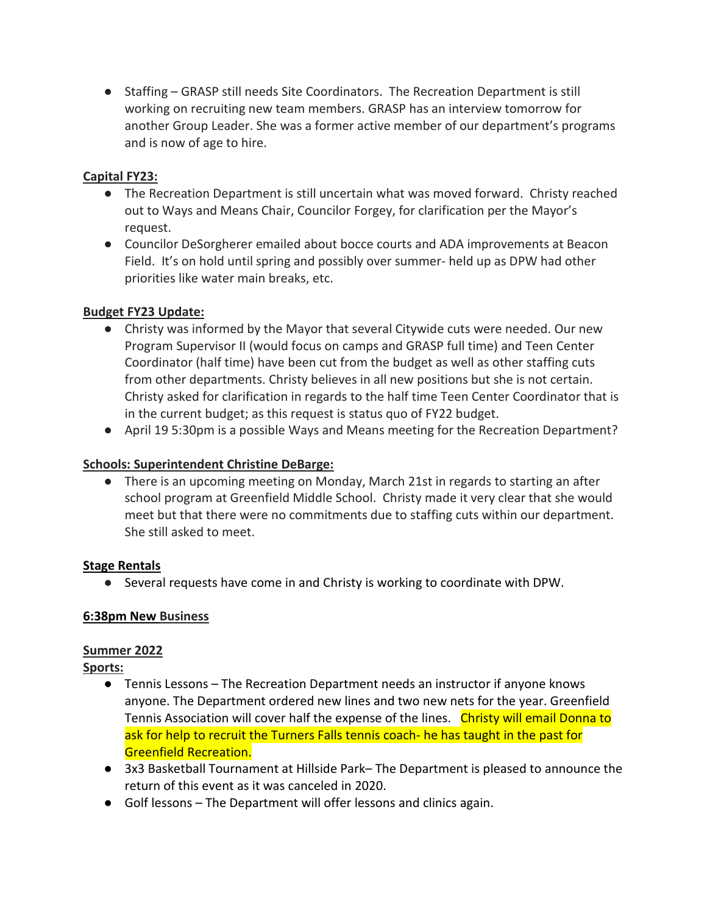● Staffing – GRASP still needs Site Coordinators. The Recreation Department is still working on recruiting new team members. GRASP has an interview tomorrow for another Group Leader. She was a former active member of our department's programs and is now of age to hire.

## **Capital FY23:**

- The Recreation Department is still uncertain what was moved forward. Christy reached out to Ways and Means Chair, Councilor Forgey, for clarification per the Mayor's request.
- Councilor DeSorgherer emailed about bocce courts and ADA improvements at Beacon Field. It's on hold until spring and possibly over summer- held up as DPW had other priorities like water main breaks, etc.

### **Budget FY23 Update:**

- Christy was informed by the Mayor that several Citywide cuts were needed. Our new Program Supervisor II (would focus on camps and GRASP full time) and Teen Center Coordinator (half time) have been cut from the budget as well as other staffing cuts from other departments. Christy believes in all new positions but she is not certain. Christy asked for clarification in regards to the half time Teen Center Coordinator that is in the current budget; as this request is status quo of FY22 budget.
- April 19 5:30pm is a possible Ways and Means meeting for the Recreation Department?

### **Schools: Superintendent Christine DeBarge:**

● There is an upcoming meeting on Monday, March 21st in regards to starting an after school program at Greenfield Middle School. Christy made it very clear that she would meet but that there were no commitments due to staffing cuts within our department. She still asked to meet.

#### **Stage Rentals**

● Several requests have come in and Christy is working to coordinate with DPW.

#### **6:38pm New Business**

## **Summer 2022**

#### **Sports:**

- Tennis Lessons The Recreation Department needs an instructor if anyone knows anyone. The Department ordered new lines and two new nets for the year. Greenfield Tennis Association will cover half the expense of the lines. Christy will email Donna to ask for help to recruit the Turners Falls tennis coach- he has taught in the past for Greenfield Recreation.
- 3x3 Basketball Tournament at Hillside Park– The Department is pleased to announce the return of this event as it was canceled in 2020.
- Golf lessons The Department will offer lessons and clinics again.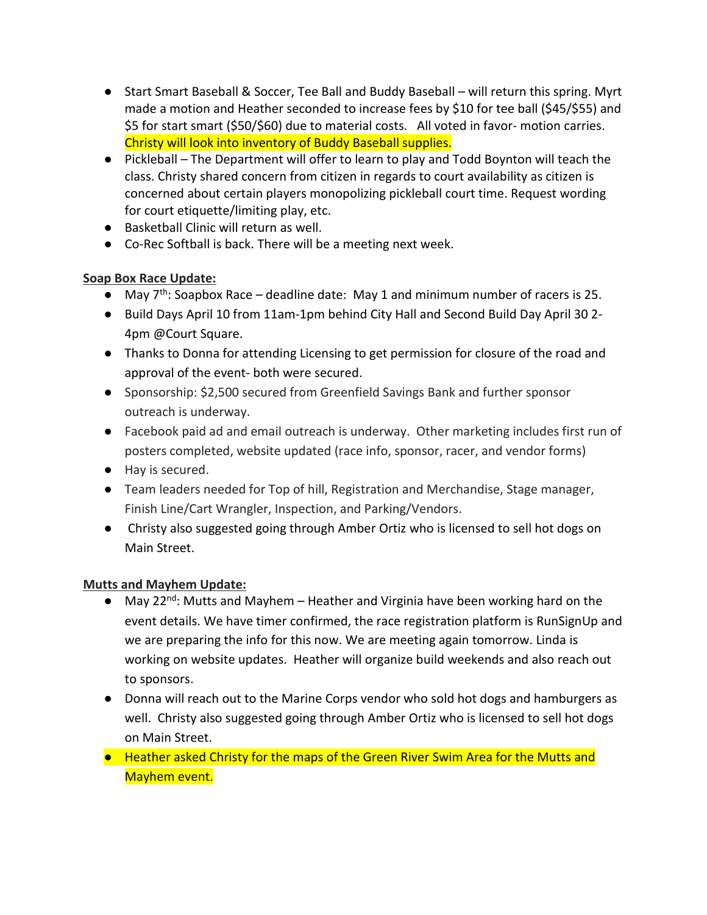- Start Smart Baseball & Soccer, Tee Ball and Buddy Baseball will return this spring. Myrt made a motion and Heather seconded to increase fees by \$10 for tee ball (\$45/\$55) and \$5 for start smart (\$50/\$60) due to material costs. All voted in favor- motion carries. Christy will look into inventory of Buddy Baseball supplies.
- Pickleball The Department will offer to learn to play and Todd Boynton will teach the class. Christy shared concern from citizen in regards to court availability as citizen is concerned about certain players monopolizing pickleball court time. Request wording for court etiquette/limiting play, etc.
- Basketball Clinic will return as well.
- Co-Rec Softball is back. There will be a meeting next week.

# **Soap Box Race Update:**

- May  $7<sup>th</sup>$ : Soapbox Race deadline date: May 1 and minimum number of racers is 25.
- Build Days April 10 from 11am-1pm behind City Hall and Second Build Day April 30 2- 4pm @Court Square.
- Thanks to Donna for attending Licensing to get permission for closure of the road and approval of the event- both were secured.
- Sponsorship: \$2,500 secured from Greenfield Savings Bank and further sponsor outreach is underway.
- Facebook paid ad and email outreach is underway. Other marketing includes first run of posters completed, website updated (race info, sponsor, racer, and vendor forms)
- Hay is secured.
- Team leaders needed for Top of hill, Registration and Merchandise, Stage manager, Finish Line/Cart Wrangler, Inspection, and Parking/Vendors.
- Christy also suggested going through Amber Ortiz who is licensed to sell hot dogs on Main Street.

# **Mutts and Mayhem Update:**

- May 22<sup>nd</sup>: Mutts and Mayhem Heather and Virginia have been working hard on the event details. We have timer confirmed, the race registration platform is RunSignUp and we are preparing the info for this now. We are meeting again tomorrow. Linda is working on website updates. Heather will organize build weekends and also reach out to sponsors.
- Donna will reach out to the Marine Corps vendor who sold hot dogs and hamburgers as well. Christy also suggested going through Amber Ortiz who is licensed to sell hot dogs on Main Street.
- Heather asked Christy for the maps of the Green River Swim Area for the Mutts and Mayhem event.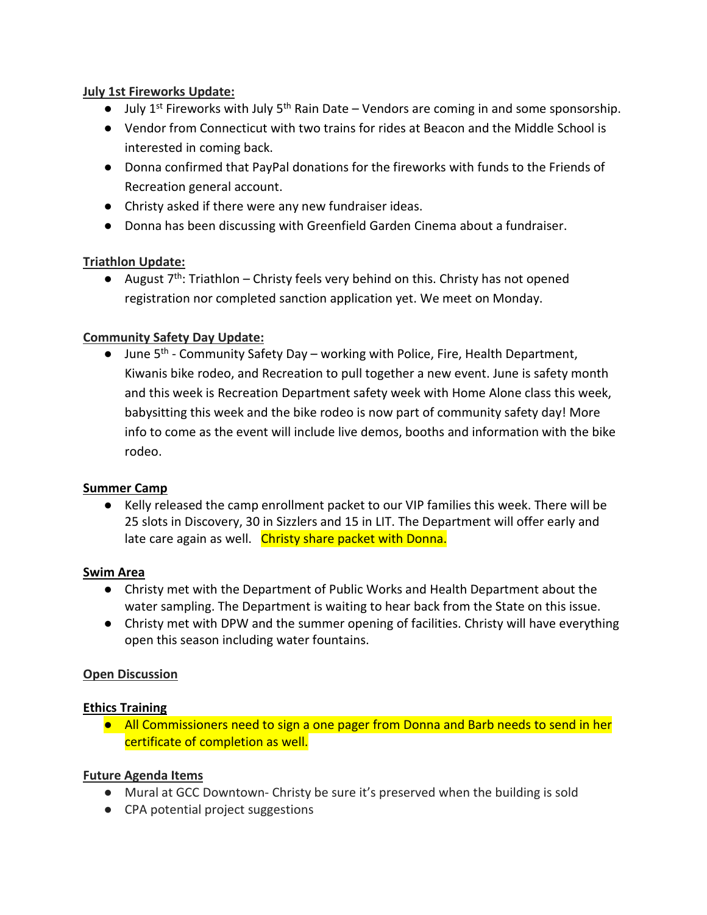### **July 1st Fireworks Update:**

- $\bullet$  July 1<sup>st</sup> Fireworks with July 5<sup>th</sup> Rain Date Vendors are coming in and some sponsorship.
- Vendor from Connecticut with two trains for rides at Beacon and the Middle School is interested in coming back.
- Donna confirmed that PayPal donations for the fireworks with funds to the Friends of Recreation general account.
- Christy asked if there were any new fundraiser ideas.
- Donna has been discussing with Greenfield Garden Cinema about a fundraiser.

## **Triathlon Update:**

• August  $7<sup>th</sup>$ : Triathlon – Christy feels very behind on this. Christy has not opened registration nor completed sanction application yet. We meet on Monday.

# **Community Safety Day Update:**

 $\bullet$  June 5<sup>th</sup> - Community Safety Day – working with Police, Fire, Health Department, Kiwanis bike rodeo, and Recreation to pull together a new event. June is safety month and this week is Recreation Department safety week with Home Alone class this week, babysitting this week and the bike rodeo is now part of community safety day! More info to come as the event will include live demos, booths and information with the bike rodeo.

## **Summer Camp**

● Kelly released the camp enrollment packet to our VIP families this week. There will be 25 slots in Discovery, 30 in Sizzlers and 15 in LIT. The Department will offer early and late care again as well. Christy share packet with Donna.

#### **Swim Area**

- Christy met with the Department of Public Works and Health Department about the water sampling. The Department is waiting to hear back from the State on this issue.
- Christy met with DPW and the summer opening of facilities. Christy will have everything open this season including water fountains.

## **Open Discussion**

## **Ethics Training**

● All Commissioners need to sign a one pager from Donna and Barb needs to send in her certificate of completion as well.

## **Future Agenda Items**

- Mural at GCC Downtown- Christy be sure it's preserved when the building is sold
- CPA potential project suggestions